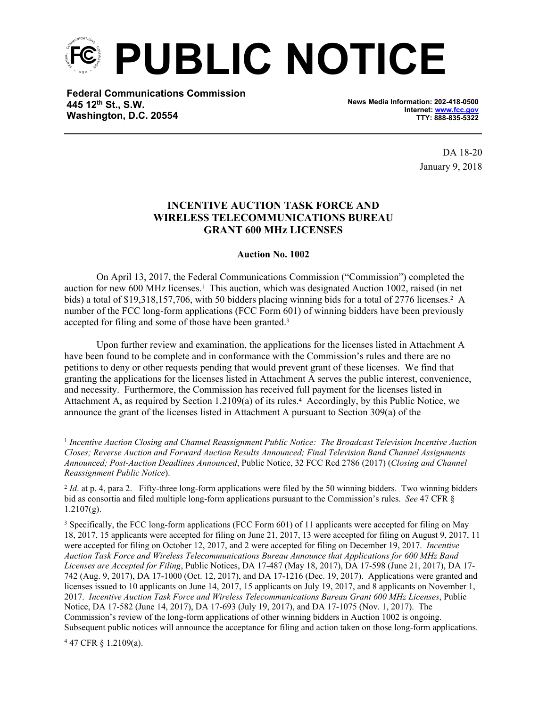

**Federal Communications Commission 445 12th St., S.W. Washington, D.C. 20554**

**News Media Information: 202-418-0500 Internet: [www.fcc.gov](file:///C:/Users/craig.bomberger/AppData/Local/Microsoft/Windows/Temporary%20Internet%20Files/Content.Outlook/BCL5QM18/www.fcc.gov) TTY: 888-835-5322**

> DA 18-20 January 9, 2018

## **INCENTIVE AUCTION TASK FORCE AND WIRELESS TELECOMMUNICATIONS BUREAU GRANT 600 MHz LICENSES**

## **Auction No. 1002**

On April 13, 2017, the Federal Communications Commission ("Commission") completed the auction for new 600 MHz licenses.<sup>1</sup> This auction, which was designated Auction 1002, raised (in net bids) a total of \$19,318,157,706, with 50 bidders placing winning bids for a total of 2776 licenses.<sup>2</sup> A number of the FCC long-form applications (FCC Form 601) of winning bidders have been previously accepted for filing and some of those have been granted.<sup>3</sup>

Upon further review and examination, the applications for the licenses listed in Attachment A have been found to be complete and in conformance with the Commission's rules and there are no petitions to deny or other requests pending that would prevent grant of these licenses. We find that granting the applications for the licenses listed in Attachment A serves the public interest, convenience, and necessity. Furthermore, the Commission has received full payment for the licenses listed in Attachment A, as required by Section 1.2109(a) of its rules.<sup>4</sup> Accordingly, by this Public Notice, we announce the grant of the licenses listed in Attachment A pursuant to Section 309(a) of the

4 47 CFR § 1.2109(a).

<sup>&</sup>lt;sup>1</sup> Incentive Auction Closing and Channel Reassignment Public Notice: The Broadcast Television Incentive Auction *Closes; Reverse Auction and Forward Auction Results Announced; Final Television Band Channel Assignments Announced; Post-Auction Deadlines Announced*, Public Notice, 32 FCC Rcd 2786 (2017) (*Closing and Channel Reassignment Public Notice*).

<sup>&</sup>lt;sup>2</sup> *Id.* at p. 4, para 2. Fifty-three long-form applications were filed by the 50 winning bidders. Two winning bidders bid as consortia and filed multiple long-form applications pursuant to the Commission's rules. *See* 47 CFR §  $1.2107(g)$ .

<sup>&</sup>lt;sup>3</sup> Specifically, the FCC long-form applications (FCC Form 601) of 11 applicants were accepted for filing on May 18, 2017, 15 applicants were accepted for filing on June 21, 2017, 13 were accepted for filing on August 9, 2017, 11 were accepted for filing on October 12, 2017, and 2 were accepted for filing on December 19, 2017. *Incentive Auction Task Force and Wireless Telecommunications Bureau Announce that Applications for 600 MHz Band Licenses are Accepted for Filing*, Public Notices, DA 17-487 (May 18, 2017), DA 17-598 (June 21, 2017), DA 17- 742 (Aug. 9, 2017), DA 17-1000 (Oct. 12, 2017), and DA 17-1216 (Dec. 19, 2017). Applications were granted and licenses issued to 10 applicants on June 14, 2017, 15 applicants on July 19, 2017, and 8 applicants on November 1, 2017. *Incentive Auction Task Force and Wireless Telecommunications Bureau Grant 600 MHz Licenses*, Public Notice, DA 17-582 (June 14, 2017), DA 17-693 (July 19, 2017), and DA 17-1075 (Nov. 1, 2017). The Commission's review of the long-form applications of other winning bidders in Auction 1002 is ongoing. Subsequent public notices will announce the acceptance for filing and action taken on those long-form applications.